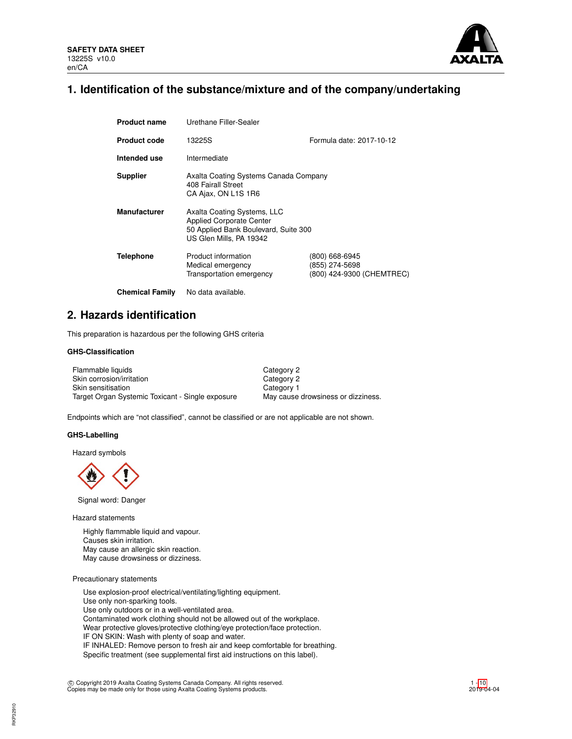

# **1. Identification of the substance/mixture and of the company/undertaking**

| <b>Product name</b>    | Urethane Filler-Sealer                                                                                                     |                                                               |
|------------------------|----------------------------------------------------------------------------------------------------------------------------|---------------------------------------------------------------|
| <b>Product code</b>    | 13225S                                                                                                                     | Formula date: 2017-10-12                                      |
| Intended use           | Intermediate                                                                                                               |                                                               |
| <b>Supplier</b>        | Axalta Coating Systems Canada Company<br>408 Fairall Street<br>CA Ajax, ON L1S 1R6                                         |                                                               |
| <b>Manufacturer</b>    | Axalta Coating Systems, LLC<br>Applied Corporate Center<br>50 Applied Bank Boulevard, Suite 300<br>US Glen Mills, PA 19342 |                                                               |
| <b>Telephone</b>       | Product information<br>Medical emergency<br>Transportation emergency                                                       | (800) 668-6945<br>(855) 274-5698<br>(800) 424-9300 (CHEMTREC) |
| <b>Chemical Family</b> | No data available.                                                                                                         |                                                               |

# **2. Hazards identification**

This preparation is hazardous per the following GHS criteria

# **GHS-Classification**

| Flammable liquids                                | Category 2                         |
|--------------------------------------------------|------------------------------------|
| Skin corrosion/irritation                        | Category 2                         |
| Skin sensitisation                               | Category 1                         |
| Target Organ Systemic Toxicant - Single exposure | May cause drowsiness or dizziness. |

Endpoints which are "not classified", cannot be classified or are not applicable are not shown.

# **GHS-Labelling**

Hazard symbols



Signal word: Danger

Hazard statements

Highly flammable liquid and vapour. Causes skin irritation. May cause an allergic skin reaction. May cause drowsiness or dizziness.

Precautionary statements

Use explosion-proof electrical/ventilating/lighting equipment. Use only non-sparking tools. Use only outdoors or in a well-ventilated area. Contaminated work clothing should not be allowed out of the workplace. Wear protective gloves/protective clothing/eye protection/face protection. IF ON SKIN: Wash with plenty of soap and water. IF INHALED: Remove person to fresh air and keep comfortable for breathing. Specific treatment (see supplemental first aid instructions on this label).

c Copyright 2019 Axalta Coating Systems Canada Company. All rights reserved. Copies may be made only for those using Axalta Coating Systems products.

1 - [10](#page-9-0) 2019-04-04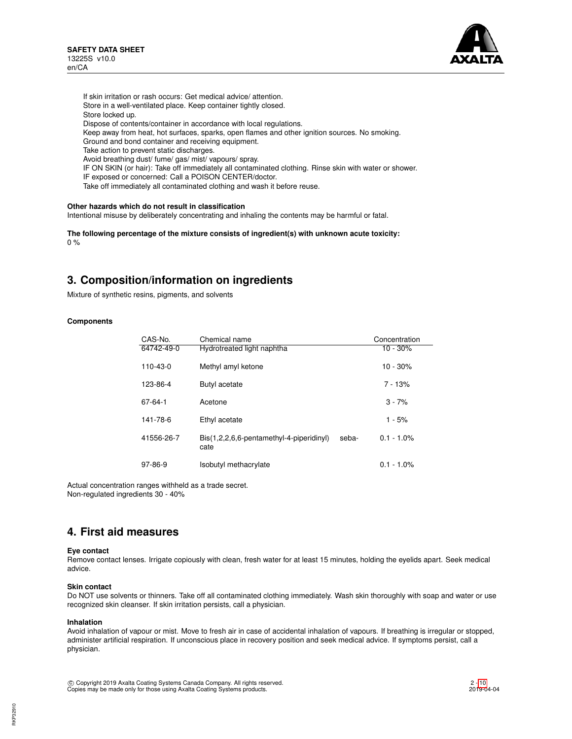

If skin irritation or rash occurs: Get medical advice/ attention. Store in a well-ventilated place. Keep container tightly closed. Store locked up. Dispose of contents/container in accordance with local regulations. Keep away from heat, hot surfaces, sparks, open flames and other ignition sources. No smoking. Ground and bond container and receiving equipment. Take action to prevent static discharges. Avoid breathing dust/ fume/ gas/ mist/ vapours/ spray. IF ON SKIN (or hair): Take off immediately all contaminated clothing. Rinse skin with water or shower. IF exposed or concerned: Call a POISON CENTER/doctor. Take off immediately all contaminated clothing and wash it before reuse.

# **Other hazards which do not result in classification**

Intentional misuse by deliberately concentrating and inhaling the contents may be harmful or fatal.

**The following percentage of the mixture consists of ingredient(s) with unknown acute toxicity:** 0 %

# **3. Composition/information on ingredients**

Mixture of synthetic resins, pigments, and solvents

# **Components**

| CAS-No.    | Chemical name                                    |       | Concentration |
|------------|--------------------------------------------------|-------|---------------|
| 64742-49-0 | Hydrotreated light naphtha                       |       | $10 - 30%$    |
| 110-43-0   | Methyl amyl ketone                               |       | $10 - 30%$    |
| 123-86-4   | Butyl acetate                                    |       | $7 - 13%$     |
| 67-64-1    | Acetone                                          |       | $3 - 7%$      |
| 141-78-6   | Ethyl acetate                                    |       | $1 - 5%$      |
| 41556-26-7 | Bis(1,2,2,6,6-pentamethyl-4-piperidinyl)<br>cate | seba- | $0.1 - 1.0\%$ |
| 97-86-9    | Isobutyl methacrylate                            |       | $0.1 - 1.0\%$ |

Actual concentration ranges withheld as a trade secret. Non-regulated ingredients 30 - 40%

# **4. First aid measures**

### **Eye contact**

Remove contact lenses. Irrigate copiously with clean, fresh water for at least 15 minutes, holding the eyelids apart. Seek medical advice.

### **Skin contact**

Do NOT use solvents or thinners. Take off all contaminated clothing immediately. Wash skin thoroughly with soap and water or use recognized skin cleanser. If skin irritation persists, call a physician.

### **Inhalation**

Avoid inhalation of vapour or mist. Move to fresh air in case of accidental inhalation of vapours. If breathing is irregular or stopped, administer artificial respiration. If unconscious place in recovery position and seek medical advice. If symptoms persist, call a physician.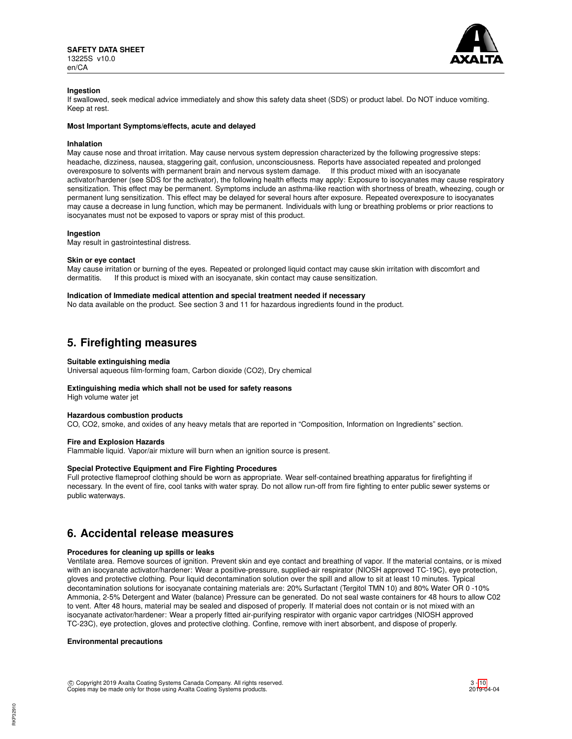

# **Ingestion**

If swallowed, seek medical advice immediately and show this safety data sheet (SDS) or product label. Do NOT induce vomiting. Keep at rest.

# **Most Important Symptoms/effects, acute and delayed**

### **Inhalation**

May cause nose and throat irritation. May cause nervous system depression characterized by the following progressive steps: headache, dizziness, nausea, staggering gait, confusion, unconsciousness. Reports have associated repeated and prolonged overexposure to solvents with permanent brain and nervous system damage. If this product mixed with an isocyanate activator/hardener (see SDS for the activator), the following health effects may apply: Exposure to isocyanates may cause respiratory sensitization. This effect may be permanent. Symptoms include an asthma-like reaction with shortness of breath, wheezing, cough or permanent lung sensitization. This effect may be delayed for several hours after exposure. Repeated overexposure to isocyanates may cause a decrease in lung function, which may be permanent. Individuals with lung or breathing problems or prior reactions to isocyanates must not be exposed to vapors or spray mist of this product.

### **Ingestion**

May result in gastrointestinal distress.

### **Skin or eye contact**

May cause irritation or burning of the eyes. Repeated or prolonged liquid contact may cause skin irritation with discomfort and dermatitis. If this product is mixed with an isocyanate, skin contact may cause sensitization.

### **Indication of Immediate medical attention and special treatment needed if necessary**

No data available on the product. See section 3 and 11 for hazardous ingredients found in the product.

# **5. Firefighting measures**

# **Suitable extinguishing media**

Universal aqueous film-forming foam, Carbon dioxide (CO2), Dry chemical

# **Extinguishing media which shall not be used for safety reasons** High volume water jet

**Hazardous combustion products**

CO, CO2, smoke, and oxides of any heavy metals that are reported in "Composition, Information on Ingredients" section.

# **Fire and Explosion Hazards**

Flammable liquid. Vapor/air mixture will burn when an ignition source is present.

# **Special Protective Equipment and Fire Fighting Procedures**

Full protective flameproof clothing should be worn as appropriate. Wear self-contained breathing apparatus for firefighting if necessary. In the event of fire, cool tanks with water spray. Do not allow run-off from fire fighting to enter public sewer systems or public waterways.

# **6. Accidental release measures**

# **Procedures for cleaning up spills or leaks**

Ventilate area. Remove sources of ignition. Prevent skin and eye contact and breathing of vapor. If the material contains, or is mixed with an isocyanate activator/hardener: Wear a positive-pressure, supplied-air respirator (NIOSH approved TC-19C), eye protection, gloves and protective clothing. Pour liquid decontamination solution over the spill and allow to sit at least 10 minutes. Typical decontamination solutions for isocyanate containing materials are: 20% Surfactant (Tergitol TMN 10) and 80% Water OR 0 -10% Ammonia, 2-5% Detergent and Water (balance) Pressure can be generated. Do not seal waste containers for 48 hours to allow C02 to vent. After 48 hours, material may be sealed and disposed of properly. If material does not contain or is not mixed with an isocyanate activator/hardener: Wear a properly fitted air-purifying respirator with organic vapor cartridges (NIOSH approved TC-23C), eye protection, gloves and protective clothing. Confine, remove with inert absorbent, and dispose of properly.

### **Environmental precautions**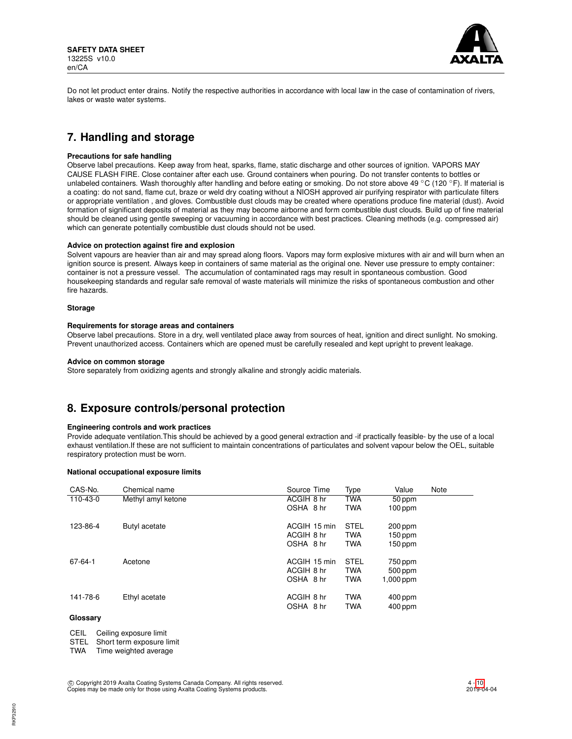

Do not let product enter drains. Notify the respective authorities in accordance with local law in the case of contamination of rivers, lakes or waste water systems.

# **7. Handling and storage**

# **Precautions for safe handling**

Observe label precautions. Keep away from heat, sparks, flame, static discharge and other sources of ignition. VAPORS MAY CAUSE FLASH FIRE. Close container after each use. Ground containers when pouring. Do not transfer contents to bottles or unlabeled containers. Wash thoroughly after handling and before eating or smoking. Do not store above 49 °C (120 °F). If material is a coating: do not sand, flame cut, braze or weld dry coating without a NIOSH approved air purifying respirator with particulate filters or appropriate ventilation , and gloves. Combustible dust clouds may be created where operations produce fine material (dust). Avoid formation of significant deposits of material as they may become airborne and form combustible dust clouds. Build up of fine material should be cleaned using gentle sweeping or vacuuming in accordance with best practices. Cleaning methods (e.g. compressed air) which can generate potentially combustible dust clouds should not be used.

### **Advice on protection against fire and explosion**

Solvent vapours are heavier than air and may spread along floors. Vapors may form explosive mixtures with air and will burn when an ignition source is present. Always keep in containers of same material as the original one. Never use pressure to empty container: container is not a pressure vessel. The accumulation of contaminated rags may result in spontaneous combustion. Good housekeeping standards and regular safe removal of waste materials will minimize the risks of spontaneous combustion and other fire hazards.

# **Storage**

# **Requirements for storage areas and containers**

Observe label precautions. Store in a dry, well ventilated place away from sources of heat, ignition and direct sunlight. No smoking. Prevent unauthorized access. Containers which are opened must be carefully resealed and kept upright to prevent leakage.

# **Advice on common storage**

Store separately from oxidizing agents and strongly alkaline and strongly acidic materials.

# **8. Exposure controls/personal protection**

# **Engineering controls and work practices**

Provide adequate ventilation.This should be achieved by a good general extraction and -if practically feasible- by the use of a local exhaust ventilation.If these are not sufficient to maintain concentrations of particulates and solvent vapour below the OEL, suitable respiratory protection must be worn.

# **National occupational exposure limits**

| CAS-No.  | Chemical name      | Source Time  | Type        | Value       | Note |
|----------|--------------------|--------------|-------------|-------------|------|
| 110-43-0 | Methyl amyl ketone | ACGIH 8 hr   | TWA         | 50 ppm      |      |
|          |                    | OSHA 8 hr    | <b>TWA</b>  | $100$ ppm   |      |
| 123-86-4 | Butyl acetate      | ACGIH 15 min | <b>STEL</b> | $200$ ppm   |      |
|          |                    | ACGIH 8 hr   | <b>TWA</b>  | 150 ppm     |      |
|          |                    | OSHA 8 hr    | <b>TWA</b>  | 150 ppm     |      |
| 67-64-1  | Acetone            | ACGIH 15 min | <b>STEL</b> | 750 ppm     |      |
|          |                    | ACGIH 8 hr   | <b>TWA</b>  | 500 ppm     |      |
|          |                    | OSHA 8 hr    | <b>TWA</b>  | $1,000$ ppm |      |
| 141-78-6 | Ethyl acetate      | ACGIH 8 hr   | <b>TWA</b>  | $400$ ppm   |      |
|          |                    | OSHA 8 hr    | <b>TWA</b>  | $400$ ppm   |      |
|          |                    |              |             |             |      |

# **Glossary**

CEIL Ceiling exposure limit

STEL Short term exposure limit<br>TWA Time weighted average

Time weighted average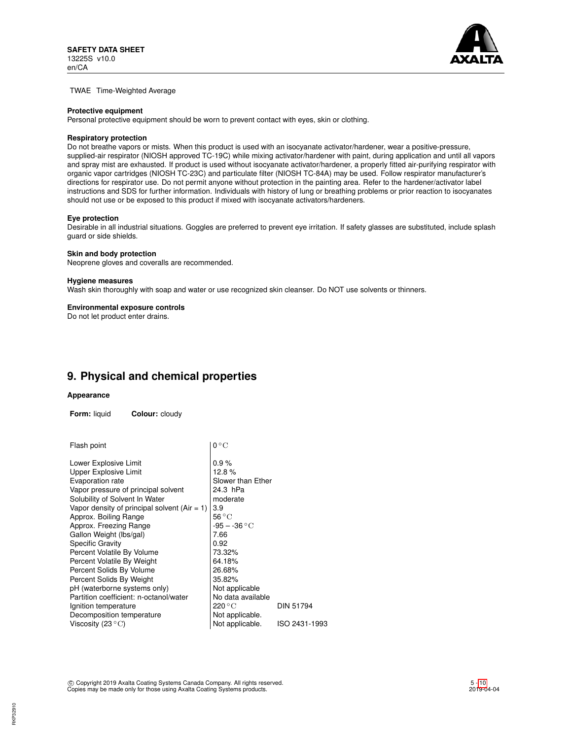

TWAE Time-Weighted Average

#### **Protective equipment**

Personal protective equipment should be worn to prevent contact with eyes, skin or clothing.

#### **Respiratory protection**

Do not breathe vapors or mists. When this product is used with an isocyanate activator/hardener, wear a positive-pressure, supplied-air respirator (NIOSH approved TC-19C) while mixing activator/hardener with paint, during application and until all vapors and spray mist are exhausted. If product is used without isocyanate activator/hardener, a properly fitted air-purifying respirator with organic vapor cartridges (NIOSH TC-23C) and particulate filter (NIOSH TC-84A) may be used. Follow respirator manufacturer's directions for respirator use. Do not permit anyone without protection in the painting area. Refer to the hardener/activator label instructions and SDS for further information. Individuals with history of lung or breathing problems or prior reaction to isocyanates should not use or be exposed to this product if mixed with isocyanate activators/hardeners.

#### **Eye protection**

Desirable in all industrial situations. Goggles are preferred to prevent eye irritation. If safety glasses are substituted, include splash guard or side shields.

#### **Skin and body protection**

Neoprene gloves and coveralls are recommended.

#### **Hygiene measures**

Wash skin thoroughly with soap and water or use recognized skin cleanser. Do NOT use solvents or thinners.

### **Environmental exposure controls**

Do not let product enter drains.

# **9. Physical and chemical properties**

# **Appearance**

**Form:** liquid **Colour:** cloudy

| Flash point                                    | $0^{\circ}$ C     |                  |  |  |  |
|------------------------------------------------|-------------------|------------------|--|--|--|
| Lower Explosive Limit                          | 0.9%              |                  |  |  |  |
| <b>Upper Explosive Limit</b>                   | 12.8%             |                  |  |  |  |
| Evaporation rate                               | Slower than Ether |                  |  |  |  |
| Vapor pressure of principal solvent            | 24.3 hPa          |                  |  |  |  |
| Solubility of Solvent In Water                 | moderate          |                  |  |  |  |
| Vapor density of principal solvent $(Air = 1)$ | 3.9               |                  |  |  |  |
| Approx. Boiling Range                          | $56^{\circ}$ C    |                  |  |  |  |
| Approx. Freezing Range                         | $-95 - -36 °C$    |                  |  |  |  |
| Gallon Weight (lbs/gal)                        | 7.66              |                  |  |  |  |
| <b>Specific Gravity</b>                        | 0.92              |                  |  |  |  |
| Percent Volatile By Volume                     | 73.32%            |                  |  |  |  |
| Percent Volatile By Weight                     | 64.18%            |                  |  |  |  |
| Percent Solids By Volume                       | 26.68%            |                  |  |  |  |
| Percent Solids By Weight                       | 35.82%            |                  |  |  |  |
| pH (waterborne systems only)                   | Not applicable    |                  |  |  |  |
| Partition coefficient: n-octanol/water         | No data available |                  |  |  |  |
| Ignition temperature                           | 220 °C            | <b>DIN 51794</b> |  |  |  |
| Decomposition temperature                      | Not applicable.   |                  |  |  |  |
| Viscosity (23 $\rm ^{\circ}C)$                 | Not applicable.   | ISO 2431-1993    |  |  |  |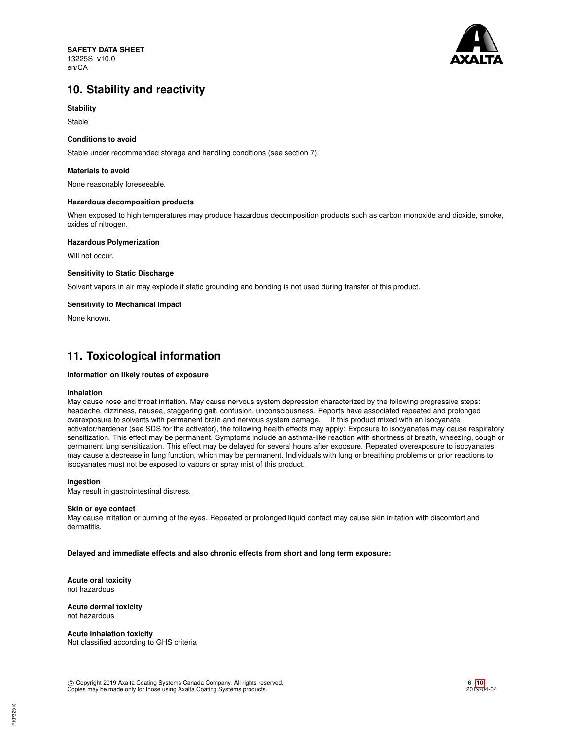

# **10. Stability and reactivity**

# **Stability**

Stable

# **Conditions to avoid**

Stable under recommended storage and handling conditions (see section 7).

# **Materials to avoid**

None reasonably foreseeable.

# **Hazardous decomposition products**

When exposed to high temperatures may produce hazardous decomposition products such as carbon monoxide and dioxide, smoke, oxides of nitrogen.

# **Hazardous Polymerization**

Will not occur.

# **Sensitivity to Static Discharge**

Solvent vapors in air may explode if static grounding and bonding is not used during transfer of this product.

# **Sensitivity to Mechanical Impact**

None known.

# **11. Toxicological information**

# **Information on likely routes of exposure**

### **Inhalation**

May cause nose and throat irritation. May cause nervous system depression characterized by the following progressive steps: headache, dizziness, nausea, staggering gait, confusion, unconsciousness. Reports have associated repeated and prolonged overexposure to solvents with permanent brain and nervous system damage. If this product mixed with an isocyanate activator/hardener (see SDS for the activator), the following health effects may apply: Exposure to isocyanates may cause respiratory sensitization. This effect may be permanent. Symptoms include an asthma-like reaction with shortness of breath, wheezing, cough or permanent lung sensitization. This effect may be delayed for several hours after exposure. Repeated overexposure to isocyanates may cause a decrease in lung function, which may be permanent. Individuals with lung or breathing problems or prior reactions to isocyanates must not be exposed to vapors or spray mist of this product.

# **Ingestion**

May result in gastrointestinal distress.

### **Skin or eye contact**

May cause irritation or burning of the eyes. Repeated or prolonged liquid contact may cause skin irritation with discomfort and dermatitis.

**Delayed and immediate effects and also chronic effects from short and long term exposure:**

**Acute oral toxicity** not hazardous

#### **Acute dermal toxicity** not hazardous

**Acute inhalation toxicity** Not classified according to GHS criteria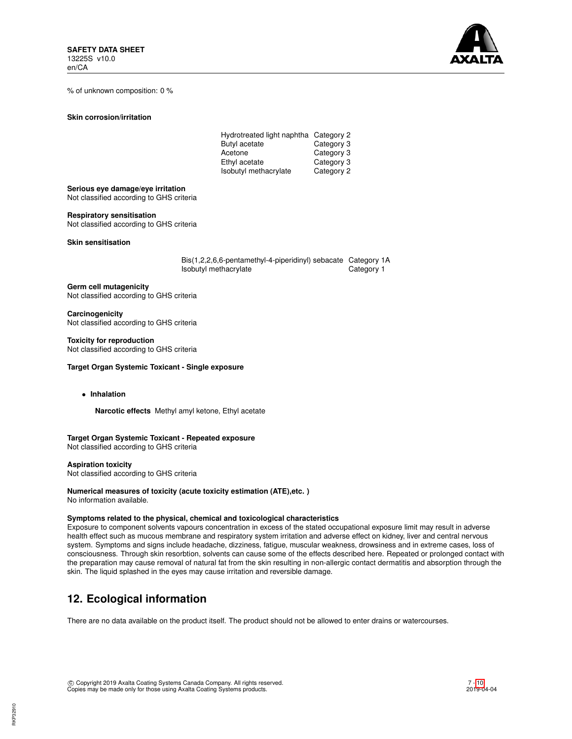

% of unknown composition: 0 %

### **Skin corrosion/irritation**

| Hydrotreated light naphtha Category 2 |            |
|---------------------------------------|------------|
| Butyl acetate                         | Category 3 |
| Acetone                               | Category 3 |
| Ethyl acetate                         | Category 3 |
| Isobutyl methacrylate                 | Category 2 |

**Serious eye damage/eye irritation**

Not classified according to GHS criteria

# **Respiratory sensitisation**

Not classified according to GHS criteria

**Skin sensitisation**

Bis(1,2,2,6,6-pentamethyl-4-piperidinyl) sebacate Category 1A Isobutyl methacrylate Category 1

**Germ cell mutagenicity** Not classified according to GHS criteria

**Carcinogenicity** Not classified according to GHS criteria

# **Toxicity for reproduction**

Not classified according to GHS criteria

# **Target Organ Systemic Toxicant - Single exposure**

• **Inhalation**

**Narcotic effects** Methyl amyl ketone, Ethyl acetate

# **Target Organ Systemic Toxicant - Repeated exposure**

Not classified according to GHS criteria

### **Aspiration toxicity**

Not classified according to GHS criteria

# **Numerical measures of toxicity (acute toxicity estimation (ATE),etc. )**

No information available.

# **Symptoms related to the physical, chemical and toxicological characteristics**

Exposure to component solvents vapours concentration in excess of the stated occupational exposure limit may result in adverse health effect such as mucous membrane and respiratory system irritation and adverse effect on kidney, liver and central nervous system. Symptoms and signs include headache, dizziness, fatigue, muscular weakness, drowsiness and in extreme cases, loss of consciousness. Through skin resorbtion, solvents can cause some of the effects described here. Repeated or prolonged contact with the preparation may cause removal of natural fat from the skin resulting in non-allergic contact dermatitis and absorption through the skin. The liquid splashed in the eyes may cause irritation and reversible damage.

# **12. Ecological information**

There are no data available on the product itself. The product should not be allowed to enter drains or watercourses.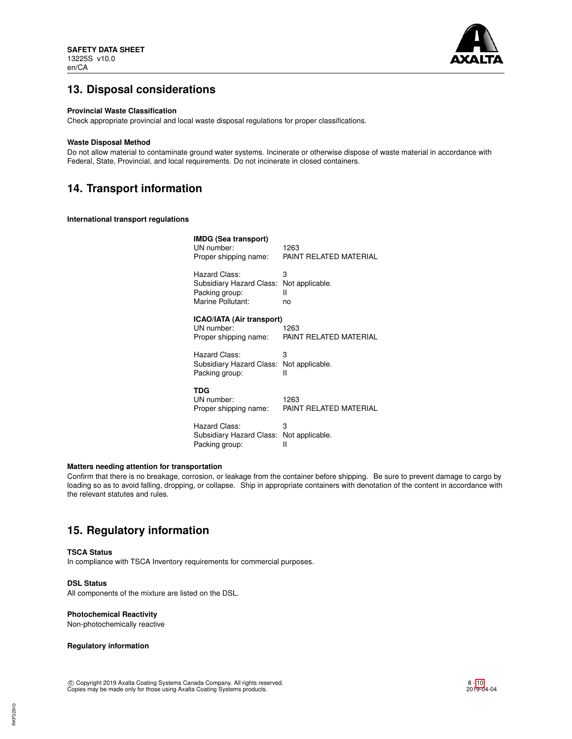

# **13. Disposal considerations**

# **Provincial Waste Classification**

Check appropriate provincial and local waste disposal regulations for proper classifications.

### **Waste Disposal Method**

Do not allow material to contaminate ground water systems. Incinerate or otherwise dispose of waste material in accordance with Federal, State, Provincial, and local requirements. Do not incinerate in closed containers.

# **14. Transport information**

**International transport regulations**

| <b>IMDG (Sea transport)</b><br>UN number:<br>Proper shipping name: | 1263<br>PAINT RELATED MATERIAL |
|--------------------------------------------------------------------|--------------------------------|
| Hazard Class:                                                      | 3                              |
| Subsidiary Hazard Class:                                           | Not applicable.                |
| Packing group:                                                     | н                              |
| Marine Pollutant:                                                  | no                             |
| <b>ICAO/IATA (Air transport)</b><br>UN number:                     | 1263                           |
| Proper shipping name:                                              | PAINT RELATED MATERIAL         |
| Hazard Class:                                                      | 3                              |
| Subsidiary Hazard Class:                                           | Not applicable.                |
| Packing group:                                                     | Ш                              |
| TDG                                                                |                                |
| UN number:                                                         | 1263                           |
| Proper shipping name:                                              | PAINT RELATED MATERIAL         |
| Hazard Class:                                                      | 3                              |
| Subsidiary Hazard Class:                                           | Not applicable.                |
| Packing group:                                                     | Ш                              |

# **Matters needing attention for transportation**

Confirm that there is no breakage, corrosion, or leakage from the container before shipping. Be sure to prevent damage to cargo by loading so as to avoid falling, dropping, or collapse. Ship in appropriate containers with denotation of the content in accordance with the relevant statutes and rules.

# **15. Regulatory information**

# **TSCA Status**

In compliance with TSCA Inventory requirements for commercial purposes.

# **DSL Status**

All components of the mixture are listed on the DSL.

# **Photochemical Reactivity**

Non-photochemically reactive

# **Regulatory information**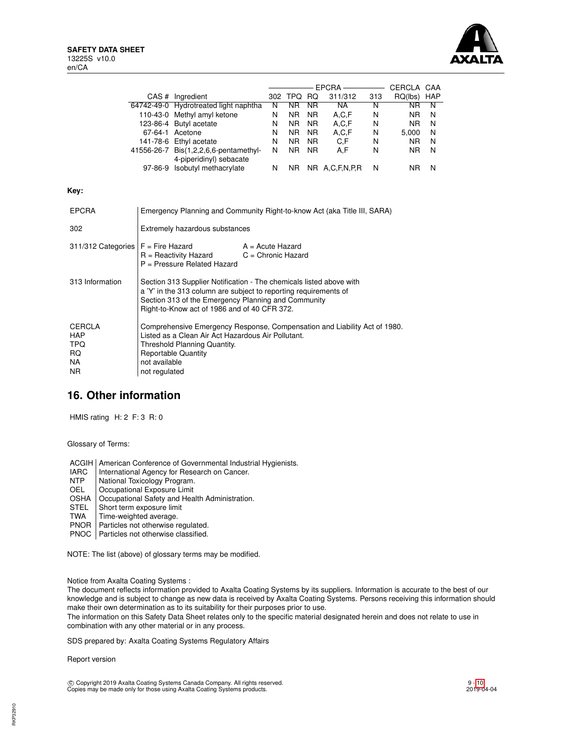

|                                                          |                                |                                                                                                                                                                                                                                                |    |                |                |                   |     | CERCLA CAA  |    |
|----------------------------------------------------------|--------------------------------|------------------------------------------------------------------------------------------------------------------------------------------------------------------------------------------------------------------------------------------------|----|----------------|----------------|-------------------|-----|-------------|----|
|                                                          |                                | CAS # Ingredient                                                                                                                                                                                                                               |    | 302 TPQ RQ     |                | 311/312           | 313 | RQ(lbs) HAP |    |
|                                                          |                                | 64742-49-0 Hydrotreated light naphtha                                                                                                                                                                                                          | N. | N <sub>R</sub> | NR.            | NA L              | N   | <b>NR</b>   | N. |
|                                                          |                                | 110-43-0 Methyl amyl ketone                                                                                                                                                                                                                    | N  | NR.            | NR.            | A,C,F             | N   | NR.         | N  |
|                                                          |                                | 123-86-4 Butyl acetate                                                                                                                                                                                                                         | N  | NR.            | NR.            | A,C,F             | N   | NR.         | N  |
|                                                          |                                | 67-64-1 Acetone                                                                                                                                                                                                                                | N  | NR.            | NR.            | A,C,F             | N   | 5,000       | N  |
|                                                          |                                | 141-78-6 Ethyl acetate                                                                                                                                                                                                                         | N  | <b>NR</b>      | N <sub>R</sub> | C.F               | N   | NR.         | N  |
|                                                          |                                | 41556-26-7 Bis(1,2,2,6,6-pentamethyl-                                                                                                                                                                                                          | N  | <b>NR</b>      | NR.            | A,F               | N   | NR.         | N  |
|                                                          |                                | 4-piperidinyl) sebacate                                                                                                                                                                                                                        |    |                |                |                   |     |             |    |
|                                                          |                                | 97-86-9 Isobutyl methacrylate                                                                                                                                                                                                                  | N. |                |                | NR NR A,C,F,N,P,R | N   | NR.         | N  |
| Key:                                                     |                                |                                                                                                                                                                                                                                                |    |                |                |                   |     |             |    |
| <b>EPCRA</b>                                             |                                | Emergency Planning and Community Right-to-know Act (aka Title III, SARA)                                                                                                                                                                       |    |                |                |                   |     |             |    |
| 302                                                      |                                | Extremely hazardous substances                                                                                                                                                                                                                 |    |                |                |                   |     |             |    |
| 311/312 Categories                                       |                                | $F =$ Fire Hazard<br>A = Acute Hazard<br>R = Reactivity Hazard<br>$C =$ Chronic Hazard<br>$P =$ Pressure Related Hazard                                                                                                                        |    |                |                |                   |     |             |    |
| 313 Information                                          |                                | Section 313 Supplier Notification - The chemicals listed above with<br>a 'Y' in the 313 column are subject to reporting requirements of<br>Section 313 of the Emergency Planning and Community<br>Right-to-Know act of 1986 and of 40 CFR 372. |    |                |                |                   |     |             |    |
| <b>CERCLA</b><br><b>HAP</b><br>TPQ.<br>RQ.<br>NA.<br>NR. | not available<br>not regulated | Comprehensive Emergency Response, Compensation and Liability Act of 1980.<br>Listed as a Clean Air Act Hazardous Air Pollutant.<br>Threshold Planning Quantity.<br><b>Reportable Quantity</b>                                                  |    |                |                |                   |     |             |    |

# **16. Other information**

HMIS rating H: 2 F: 3 R: 0

Glossary of Terms:

ACGIH | American Conference of Governmental Industrial Hygienists.<br>
IARC | International Agency for Research on Cancer.

- IARC | International Agency for Research on Cancer.<br>NTP | National Toxicology Program.
- National Toxicology Program.
- OEL Cccupational Exposure Limit<br>
OSHA Cccupational Safety and Hea
- OSHA Occupational Safety and Health Administration.<br>STEL Short term exposure limit
- Short term exposure limit
- TWA | Time-weighted average.
- PNOR | Particles not otherwise regulated.
- PNOC | Particles not otherwise classified.

NOTE: The list (above) of glossary terms may be modified.

Notice from Axalta Coating Systems :

The document reflects information provided to Axalta Coating Systems by its suppliers. Information is accurate to the best of our knowledge and is subject to change as new data is received by Axalta Coating Systems. Persons receiving this information should make their own determination as to its suitability for their purposes prior to use.

The information on this Safety Data Sheet relates only to the specific material designated herein and does not relate to use in combination with any other material or in any process.

SDS prepared by: Axalta Coating Systems Regulatory Affairs

Report version